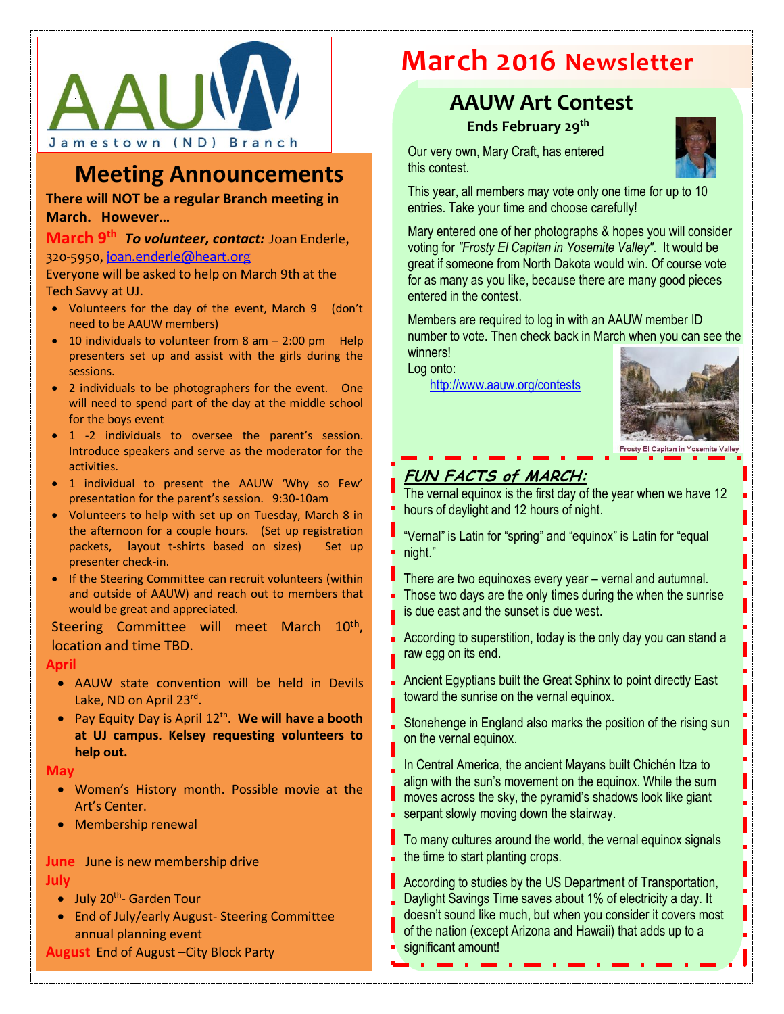

## **Meeting Announcements**

**There will NOT be a regular Branch meeting in March. However…**

### **March 9th** *To volunteer, contact:* Joan Enderle, 320-5950, [joan.enderle@heart.org](mailto:joan.enderle@heart.org)

Everyone will be asked to help on March 9th at the Tech Savvy at UJ.

- Volunteers for the day of the event, March 9 (don't need to be AAUW members)
- 10 individuals to volunteer from  $8$  am  $2:00$  pm Help presenters set up and assist with the girls during the sessions.
- 2 individuals to be photographers for the event. One will need to spend part of the day at the middle school for the boys event
- 1 -2 individuals to oversee the parent's session. Introduce speakers and serve as the moderator for the activities.
- 1 individual to present the AAUW 'Why so Few' presentation for the parent's session. 9:30-10am
- Volunteers to help with set up on Tuesday, March 8 in the afternoon for a couple hours. (Set up registration packets, layout t-shirts based on sizes) Set up presenter check-in.
- If the Steering Committee can recruit volunteers (within and outside of AAUW) and reach out to members that would be great and appreciated.

Steering Committee will meet March 10<sup>th</sup>, location and time TBD.

### **April**

- AAUW state convention will be held in Devils Lake, ND on April 23rd.
- Pay Equity Day is April 12<sup>th</sup>. We will have a booth **at UJ campus. Kelsey requesting volunteers to help out.**

#### **May**

- Women's History month. Possible movie at the Art's Center.
- Membership renewal

**June** June is new membership drive **July**

- July 20<sup>th</sup>- Garden Tour
- End of July/early August- Steering Committee annual planning event
- **August** End of August –City Block Party

# **March 2016 Newsletter**

## **AAUW Art Contest**

**Ends February 29th**

Our very own, Mary Craft, has entered this contest.



This year, all members may vote only one time for up to 10 entries. Take your time and choose carefully!

Mary entered one of her photographs & hopes you will consider voting for *"Frosty El Capitan in Yosemite Valley"*. It would be great if someone from North Dakota would win. Of course vote for as many as you like, because there are many good pieces entered in the contest.

Members are required to log in with an AAUW member ID number to vote. Then check back in March when you can see the winners!

Log onto:

<http://www.aauw.org/contests>



## **FUN FACTS of MARCH:**

The vernal equinox is the first day of the year when we have 12 hours of daylight and 12 hours of night.

"Vernal" is Latin for "spring" and "equinox" is Latin for "equal night."

- There are two equinoxes every year vernal and autumnal. Those two days are the only times during the when the sunrise is due east and the sunset is due west.
- According to superstition, today is the only day you can stand a raw egg on its end.
- Ancient Egyptians built the Great Sphinx to point directly East toward the sunrise on the vernal equinox.
- Stonehenge in England also marks the position of the rising sun on the vernal equinox.
- In Central America, the ancient Mayans built Chichén Itza to align with the sun's movement on the equinox. While the sum moves across the sky, the pyramid's shadows look like giant serpant slowly moving down the stairway.
- To many cultures around the world, the vernal equinox signals the time to start planting crops.
- **According to studies by the US Department of Transportation,** Daylight Savings Time saves about 1% of electricity a day. It doesn't sound like much, but when you consider it covers most of the nation (except Arizona and Hawaii) that adds up to a significant amount!